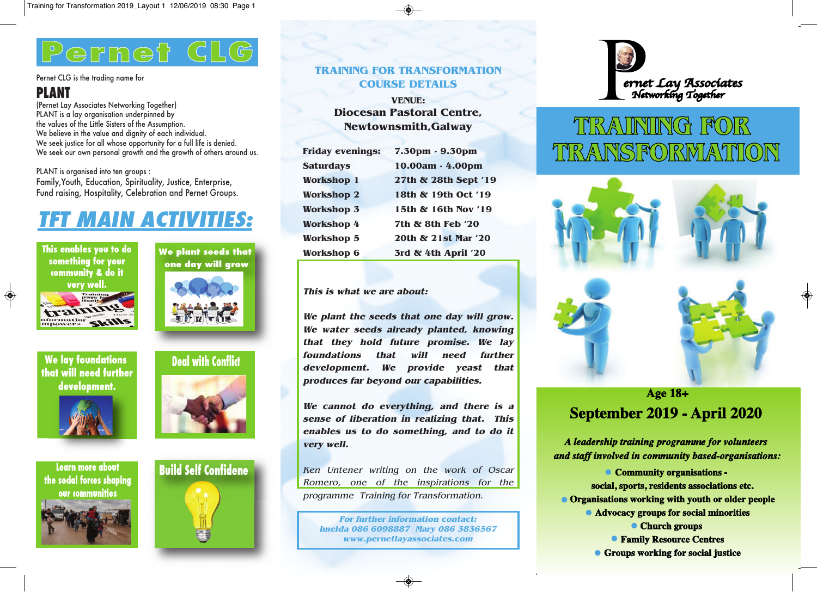# **Pernet CLG ernet**

#### Pernet CLG is the trading name for

## **PLANT**

(Pernet Lay Associates Networking Together) PLANT is a lay organisation underpinned by the values of the Little Sisters of the Assumption. We believe in the value and dignity of each individual. We seek justice for all whose opportunity for a full life is denied. We seek our own personal growth and the growth of others around us.

PLANT is organised into ten groups : Family,Youth, Education, Spirituality, Justice, Enterprise, Fund raising, Hospitality, Celebration and Pernet Groups.

## **TFT MAIN ACTIVITIES:**



◈



**We plant seeds that**





**the social forces shaping our communities**







## **TRAINING FOR TRANSFORMATION COURSE DETAILS**

**VENUE: Diocesan Pastoral Centre, Newtownsmith,Galway**

| <b>Friday evenings:</b> | 7.30pm - 9.30pm      |
|-------------------------|----------------------|
| <b>Saturdays</b>        | 10.00am - 4.00pm     |
| <b>Workshop 1</b>       | 27th & 28th Sept '19 |
| <b>Workshop 2</b>       | 18th & 19th Oct '19  |
| <b>Workshop 3</b>       | 15th & 16th Nov '19  |
| <b>Workshop 4</b>       | 7th & 8th Feb '20    |
| <b>Workshop 5</b>       | 20th & 21st Mar '20  |
| <b>Workshop 6</b>       | 3rd & 4th April '20  |

### **This is what we are about:**

**We plant the seeds that one day will grow. We water seeds already planted, knowing that they hold future promise. We lay foundations that will need further development. We provide yeast that produces far beyond our capabilities.**

**We cannot do everything, and there is <sup>a</sup> sense of liberation in realizing that. This enables us to do something, and to do it very well.**

Ken Untener writing on the work of Oscar Romero, one of the inspirations for the programme Training for Transformation.

**For further information contact: Imelda 086 6098887 Mary 086 3836567 www.pernetlayassociates.com**



## TIRAUNING FOR TIRANSFORMATION



## **Age 18+** September 2019 - April 2020

A leadership training programme for volunteers and staff involved in community based-organisations:

• Community organisations social, sports, residents associations etc. • Organisations working with youth or older people • Advocacy groups for social minorities • Church groups **• Family Resource Centres** • Groups working for social justice